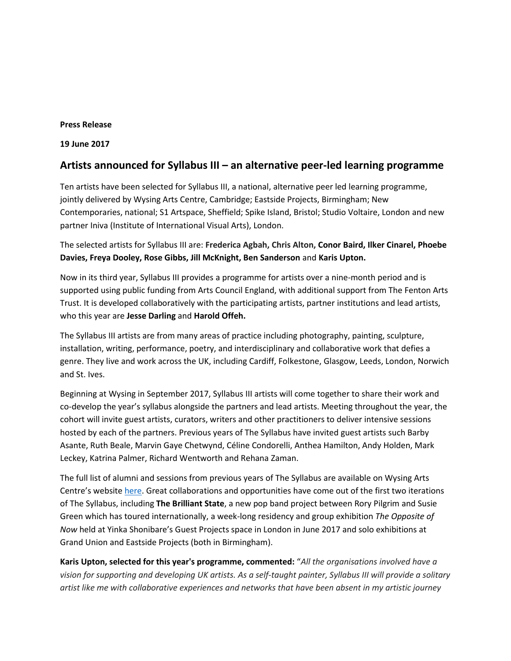### **Press Release**

**19 June 2017** 

# **Artists announced for Syllabus III – an alternative peer-led learning programme**

Ten artists have been selected for Syllabus III, a national, alternative peer led learning programme, jointly delivered by Wysing Arts Centre, Cambridge; Eastside Projects, Birmingham; New Contemporaries, national; S1 Artspace, Sheffield; Spike Island, Bristol; Studio Voltaire, London and new partner Iniva (Institute of International Visual Arts), London.

The selected artists for Syllabus III are: **Frederica Agbah, Chris Alton, Conor Baird, Ilker Cinarel, Phoebe Davies, Freya Dooley, Rose Gibbs, Jill McKnight, Ben Sanderson** and **Karis Upton.**

Now in its third year, Syllabus III provides a programme for artists over a nine-month period and is supported using public funding from Arts Council England, with additional support from The Fenton Arts Trust. It is developed collaboratively with the participating artists, partner institutions and lead artists, who this year are **Jesse Darling** and **Harold Offeh.**

The Syllabus III artists are from many areas of practice including photography, painting, sculpture, installation, writing, performance, poetry, and interdisciplinary and collaborative work that defies a genre. They live and work across the UK, including Cardiff, Folkestone, Glasgow, Leeds, London, Norwich and St. Ives.

Beginning at Wysing in September 2017, Syllabus III artists will come together to share their work and co-develop the year's syllabus alongside the partners and lead artists. Meeting throughout the year, the cohort will invite guest artists, curators, writers and other practitioners to deliver intensive sessions hosted by each of the partners. Previous years of The Syllabus have invited guest artists such Barby Asante, Ruth Beale, Marvin Gaye Chetwynd, Céline Condorelli, Anthea Hamilton, Andy Holden, Mark Leckey, Katrina Palmer, Richard Wentworth and Rehana Zaman.

The full list of alumni and sessions from previous years of The Syllabus are available on Wysing Arts Centre's website [here.](http://www.wysingartscentre.org/about/consultancy) Great collaborations and opportunities have come out of the first two iterations of The Syllabus, including **The Brilliant State**, a new pop band project between Rory Pilgrim and Susie Green which has toured internationally, a week-long residency and group exhibition *The Opposite of Now* held at Yinka Shonibare's Guest Projects space in London in June 2017 and solo exhibitions at Grand Union and Eastside Projects (both in Birmingham).

**Karis Upton, selected for this year's programme, commented:** "*All the organisations involved have a vision for supporting and developing UK artists. As a self-taught painter, Syllabus III will provide a solitary artist like me with collaborative experiences and networks that have been absent in my artistic journey*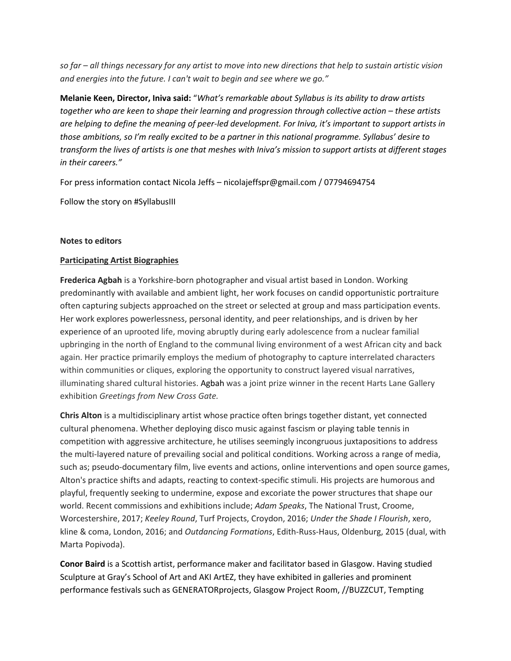*so far – all things necessary for any artist to move into new directions that help to sustain artistic vision and energies into the future. I can't wait to begin and see where we go."*

**Melanie Keen, Director, Iniva said:** "*What's remarkable about Syllabus is its ability to draw artists together who are keen to shape their learning and progression through collective action – these artists are helping to define the meaning of peer-led development. For Iniva, it's important to support artists in those ambitions, so I'm really excited to be a partner in this national programme. Syllabus' desire to transform the lives of artists is one that meshes with Iniva's mission to support artists at different stages in their careers."* 

For press information contact Nicola Jeffs – nicolajeffspr@gmail.com / 07794694754

Follow the story on #SyllabusIII

## **Notes to editors**

## **Participating Artist Biographies**

**Frederica Agbah** is a Yorkshire-born photographer and visual artist based in London. Working predominantly with available and ambient light, her work focuses on candid opportunistic portraiture often capturing subjects approached on the street or selected at group and mass participation events. Her work explores powerlessness, personal identity, and peer relationships, and is driven by her experience of an uprooted life, moving abruptly during early adolescence from a nuclear familial upbringing in the north of England to the communal living environment of a west African city and back again. Her practice primarily employs the medium of photography to capture interrelated characters within communities or cliques, exploring the opportunity to construct layered visual narratives, illuminating shared cultural histories. Agbah was a joint prize winner in the recent Harts Lane Gallery exhibition *Greetings from New Cross Gate.*

**Chris Alton** is a multidisciplinary artist whose practice often brings together distant, yet connected cultural phenomena. Whether deploying disco music against fascism or playing table tennis in competition with aggressive architecture, he utilises seemingly incongruous juxtapositions to address the multi-layered nature of prevailing social and political conditions. Working across a range of media, such as; pseudo-documentary film, live events and actions, online interventions and open source games, Alton's practice shifts and adapts, reacting to context-specific stimuli. His projects are humorous and playful, frequently seeking to undermine, expose and excoriate the power structures that shape our world. Recent commissions and exhibitions include; *Adam Speaks*, The National Trust, Croome, Worcestershire, 2017; *Keeley Round*, Turf Projects, Croydon, 2016; *Under the Shade I Flourish*, xero, kline & coma, London, 2016; and *Outdancing Formations*, Edith-Russ-Haus, Oldenburg, 2015 (dual, with Marta Popivoda).

**Conor Baird** is a Scottish artist, performance maker and facilitator based in Glasgow. Having studied Sculpture at Gray's School of Art and AKI ArtEZ, they have exhibited in galleries and prominent performance festivals such as GENERATORprojects, Glasgow Project Room, //BUZZCUT, Tempting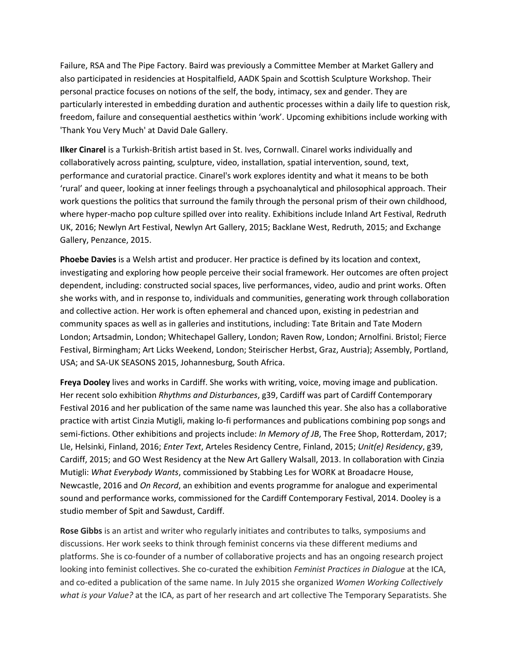Failure, RSA and The Pipe Factory. Baird was previously a Committee Member at Market Gallery and also participated in residencies at Hospitalfield, AADK Spain and Scottish Sculpture Workshop. Their personal practice focuses on notions of the self, the body, intimacy, sex and gender. They are particularly interested in embedding duration and authentic processes within a daily life to question risk, freedom, failure and consequential aesthetics within 'work'. Upcoming exhibitions include working with 'Thank You Very Much' at David Dale Gallery.

**Ilker Cinarel** is a Turkish-British artist based in St. Ives, Cornwall. Cinarel works individually and collaboratively across painting, sculpture, video, installation, spatial intervention, sound, text, performance and curatorial practice. Cinarel's work explores identity and what it means to be both 'rural' and queer, looking at inner feelings through a psychoanalytical and philosophical approach. Their work questions the politics that surround the family through the personal prism of their own childhood, where hyper-macho pop culture spilled over into reality. Exhibitions include Inland Art Festival, Redruth UK, 2016; Newlyn Art Festival, Newlyn Art Gallery, 2015; Backlane West, Redruth, 2015; and Exchange Gallery, Penzance, 2015.

**Phoebe Davies** is a Welsh artist and producer. Her practice is defined by its location and context, investigating and exploring how people perceive their social framework. Her outcomes are often project dependent, including: constructed social spaces, live performances, video, audio and print works. Often she works with, and in response to, individuals and communities, generating work through collaboration and collective action. Her work is often ephemeral and chanced upon, existing in pedestrian and community spaces as well as in galleries and institutions, including: Tate Britain and Tate Modern London; Artsadmin, London; Whitechapel Gallery, London; Raven Row, London; Arnolfini. Bristol; Fierce Festival, Birmingham; Art Licks Weekend, London; Steirischer Herbst, Graz, Austria); Assembly, Portland, USA; and SA-UK SEASONS 2015, Johannesburg, South Africa.

**Freya Dooley** lives and works in Cardiff. She works with writing, voice, moving image and publication. Her recent solo exhibition *Rhythms and Disturbances*, g39, Cardiff was part of Cardiff Contemporary Festival 2016 and her publication of the same name was launched this year. She also has a collaborative practice with artist Cinzia Mutigli, making lo-fi performances and publications combining pop songs and semi-fictions. Other exhibitions and projects include: *In Memory of JB*, The Free Shop, Rotterdam, 2017; Lle, Helsinki, Finland, 2016; *Enter Text*, Arteles Residency Centre, Finland, 2015; *Unit(e) Residency*, g39, Cardiff, 2015; and GO West Residency at the New Art Gallery Walsall, 2013. In collaboration with Cinzia Mutigli: *What Everybody Wants*, commissioned by Stabbing Les for WORK at Broadacre House, Newcastle, 2016 and *On Record*, an exhibition and events programme for analogue and experimental sound and performance works, commissioned for the Cardiff Contemporary Festival, 2014. Dooley is a studio member of Spit and Sawdust, Cardiff.

**Rose Gibbs** is an artist and writer who regularly initiates and contributes to talks, symposiums and discussions. Her work seeks to think through feminist concerns via these different mediums and platforms. She is co-founder of a number of collaborative projects and has an ongoing research project looking into feminist collectives. She co-curated the exhibition *Feminist Practices in Dialogue* at the ICA, and co-edited a publication of the same name. In July 2015 she organized *Women Working Collectively what is your Value?* at the ICA, as part of her research and art collective The Temporary Separatists. She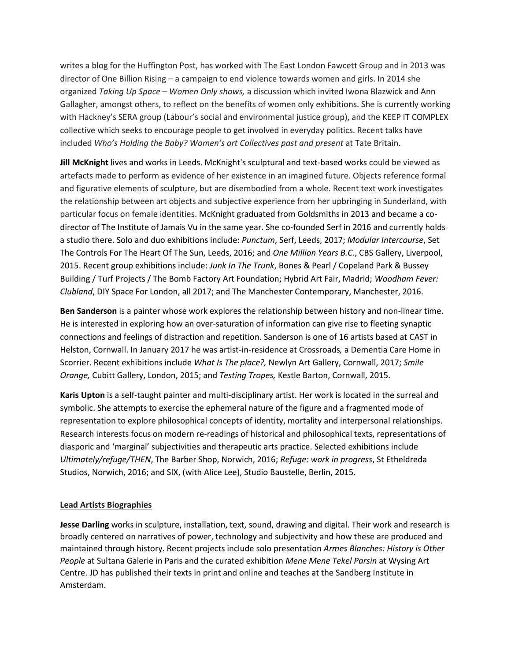writes a blog for the Huffington Post, has worked with The East London Fawcett Group and in 2013 was director of One Billion Rising – a campaign to end violence towards women and girls. In 2014 she organized *Taking Up Space – Women Only shows,* a discussion which invited Iwona Blazwick and Ann Gallagher, amongst others, to reflect on the benefits of women only exhibitions. She is currently working with Hackney's SERA group (Labour's social and environmental justice group), and the KEEP IT COMPLEX collective which seeks to encourage people to get involved in everyday politics. Recent talks have included *Who's Holding the Baby? Women's art Collectives past and present* at Tate Britain.

**Jill McKnight** lives and works in Leeds. McKnight's sculptural and text-based works could be viewed as artefacts made to perform as evidence of her existence in an imagined future. Objects reference formal and figurative elements of sculpture, but are disembodied from a whole. Recent text work investigates the relationship between art objects and subjective experience from her upbringing in Sunderland, with particular focus on female identities. McKnight graduated from Goldsmiths in 2013 and became a codirector of The Institute of Jamais Vu in the same year. She co-founded Serf in 2016 and currently holds a studio there. Solo and duo exhibitions include: *Punctum*, Serf, Leeds, 2017; *Modular Intercourse*, Set The Controls For The Heart Of The Sun, Leeds, 2016; and *One Million Years B.C.*, CBS Gallery, Liverpool, 2015. Recent group exhibitions include: *Junk In The Trunk*, Bones & Pearl / Copeland Park & Bussey Building / Turf Projects / The Bomb Factory Art Foundation; Hybrid Art Fair, Madrid; *Woodham Fever: Clubland*, DIY Space For London, all 2017; and The Manchester Contemporary, Manchester, 2016.

**Ben Sanderson** is a painter whose work explores the relationship between history and non-linear time. He is interested in exploring how an over-saturation of information can give rise to fleeting synaptic connections and feelings of distraction and repetition. Sanderson is one of 16 artists based at CAST in Helston, Cornwall. In January 2017 he was artist-in-residence at Crossroads*,* a Dementia Care Home in Scorrier. Recent exhibitions include *What Is The place?,* Newlyn Art Gallery, Cornwall, 2017; *Smile Orange,* Cubitt Gallery, London, 2015; and *Testing Tropes,* Kestle Barton, Cornwall, 2015.

**Karis Upton** is a self-taught painter and multi-disciplinary artist. Her work is located in the surreal and symbolic. She attempts to exercise the ephemeral nature of the figure and a fragmented mode of representation to explore philosophical concepts of identity, mortality and interpersonal relationships. Research interests focus on modern re-readings of historical and philosophical texts, representations of diasporic and 'marginal' subjectivities and therapeutic arts practice. Selected exhibitions include *Ultimately/refuge/THEN*, The Barber Shop, Norwich, 2016; *Refuge: work in progress*, St Etheldreda Studios, Norwich, 2016; and SIX, (with Alice Lee), Studio Baustelle, Berlin, 2015.

## **Lead Artists Biographies**

**Jesse Darling** works in sculpture, installation, text, sound, drawing and digital. Their work and research is broadly centered on narratives of power, technology and subjectivity and how these are produced and maintained through history. Recent projects include solo presentation *Armes Blanches: History is Other People* at Sultana Galerie in Paris and the curated exhibition *Mene Mene Tekel Parsin* at Wysing Art Centre. JD has published their texts in print and online and teaches at the Sandberg Institute in Amsterdam.